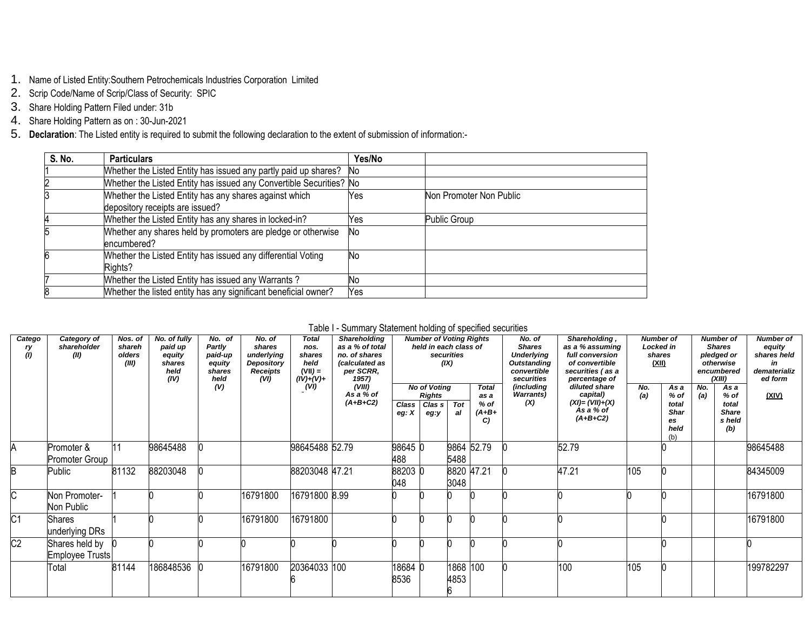- 1. Name of Listed Entity:Southern Petrochemicals Industries Corporation Limited
- 2. Scrip Code/Name of Scrip/Class of Security: SPIC
- 3. Share Holding Pattern Filed under: 31b
- 4. Share Holding Pattern as on : 30-Jun-2021
- 5. **Declaration**: The Listed entity is required to submit the following declaration to the extent of submission of information:-

| S. No. | <b>Particulars</b>                                                                        | Yes/No |                         |
|--------|-------------------------------------------------------------------------------------------|--------|-------------------------|
|        | Whether the Listed Entity has issued any partly paid up shares?                           | No     |                         |
|        | Whether the Listed Entity has issued any Convertible Securities? No                       |        |                         |
|        | Whether the Listed Entity has any shares against which<br>depository receipts are issued? | Yes    | Non Promoter Non Public |
|        | Whether the Listed Entity has any shares in locked-in?                                    | Yes    | Public Group            |
|        | Whether any shares held by promoters are pledge or otherwise<br>encumbered?               | No     |                         |
|        | Whether the Listed Entity has issued any differential Voting<br>Rights?                   | No     |                         |
|        | Whether the Listed Entity has issued any Warrants?                                        | No     |                         |
|        | Whether the listed entity has any significant beneficial owner?                           | Yes    |                         |

## Table I - Summary Statement holding of specified securities

| Catego<br>ry<br>(1) | Category of<br>shareholder<br>(II) | Nos. of<br>shareh<br>olders<br>(III) | No. of fully<br>paid up<br>equity<br>shares<br>held<br>(IV) | No. of<br>Partly<br>paid-up<br>equity<br>shares<br>held | No. of<br>shares<br>underlying<br>Depository<br><b>Receipts</b><br>(VI) | <b>Total</b><br>nos.<br>shares<br>held<br>$(VII) =$<br>$(IV)+(V)+$ | Shareholding<br>as a % of total<br>no. of shares<br>(calculated as<br>per SCRR,<br>1957) |                  | <b>Number of Voting Rights</b><br>held in each class of | securities<br>(IX)     |                                               | No. of<br><b>Shares</b><br><b>Underlying</b><br><b>Outstanding</b><br>convertible<br>securities | Shareholding,<br>as a % assuming<br>full conversion<br>of convertible<br>securities (as a<br>percentage of | <b>Number of</b><br>Locked in<br>shares<br>(XII) |                                                           |            | <b>Number of</b><br><b>Shares</b><br>pledged or<br>otherwise<br>encumbered<br>(XIII) | <b>Number of</b><br>equity<br>shares held<br>in<br>dematerializ<br>ed form |
|---------------------|------------------------------------|--------------------------------------|-------------------------------------------------------------|---------------------------------------------------------|-------------------------------------------------------------------------|--------------------------------------------------------------------|------------------------------------------------------------------------------------------|------------------|---------------------------------------------------------|------------------------|-----------------------------------------------|-------------------------------------------------------------------------------------------------|------------------------------------------------------------------------------------------------------------|--------------------------------------------------|-----------------------------------------------------------|------------|--------------------------------------------------------------------------------------|----------------------------------------------------------------------------|
|                     |                                    |                                      |                                                             | (V)                                                     |                                                                         | (W)                                                                | (VIII)<br>As a % of<br>$(A+B+C2)$                                                        | Class<br>eg: $X$ | <b>No of Voting</b><br><b>Rights</b><br>Clas s<br>eg:y  | $\overline{Tot}$<br>al | <b>Total</b><br>as a<br>$%$ of<br>(A+B+<br>C) | (including<br><b>Warrants</b> )<br>(X)                                                          | diluted share<br>capital)<br>(XI)= (VII)+(X)<br>As a % of<br>$(A+B+C2)$                                    | No.<br>(a)                                       | As a<br>% of<br>total<br><b>Shar</b><br>es<br>held<br>(b) | No.<br>(a) | As a<br>$%$ of<br>total<br><b>Share</b><br>s held<br>(b)                             | (XIV)                                                                      |
| A                   | Promoter &<br>Promoter Group       | 11                                   | 98645488                                                    |                                                         |                                                                         | 98645488 52.79                                                     |                                                                                          | 98645 0<br>488   |                                                         | 5488                   | 9864 52.79                                    |                                                                                                 | 52.79                                                                                                      |                                                  |                                                           |            |                                                                                      | 98645488                                                                   |
| B                   | Public                             | 81132                                | 88203048                                                    |                                                         |                                                                         | 88203048 47.21                                                     |                                                                                          | 88203 0<br>048   |                                                         | 3048                   | 8820 47.21                                    |                                                                                                 | 47.21                                                                                                      | 105                                              |                                                           |            |                                                                                      | 84345009                                                                   |
| C.                  | Non Promoter-<br>Non Public        |                                      |                                                             |                                                         | 16791800                                                                | 16791800 8.99                                                      |                                                                                          |                  |                                                         |                        |                                               |                                                                                                 |                                                                                                            |                                                  |                                                           |            |                                                                                      | 16791800                                                                   |
| C <sub>1</sub>      | <b>Shares</b><br>underlying DRs    |                                      |                                                             |                                                         | 16791800                                                                | 16791800                                                           |                                                                                          |                  |                                                         |                        |                                               |                                                                                                 |                                                                                                            |                                                  |                                                           |            |                                                                                      | 16791800                                                                   |
| C <sub>2</sub>      | Shares held by<br>Employee Trusts  |                                      |                                                             |                                                         |                                                                         |                                                                    |                                                                                          |                  |                                                         |                        |                                               |                                                                                                 |                                                                                                            |                                                  |                                                           |            |                                                                                      |                                                                            |
|                     | Total                              | 81144                                | 186848536                                                   |                                                         | 16791800                                                                | 20364033 100                                                       |                                                                                          | 18684 0<br>8536  |                                                         | 1868 100<br>4853       |                                               |                                                                                                 | 100                                                                                                        | 105                                              |                                                           |            |                                                                                      | 199782297                                                                  |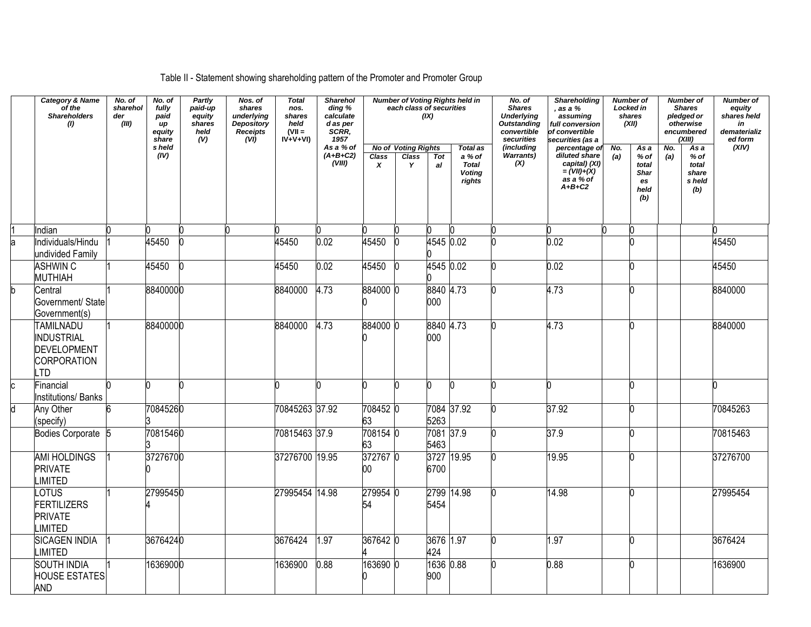## Table II - Statement showing shareholding pattern of the Promoter and Promoter Group

|    | <b>Category &amp; Name</b><br>of the<br><b>Shareholders</b><br>(1)                            | No. of<br>sharehol<br>der<br>(III) | No. of<br>fully<br>paid<br>up<br>equity<br>share | Partly<br>paid-up<br>equity<br>shares<br>held<br>(V) | Nos. of<br>shares<br>underlying<br><b>Depository</b><br><b>Receipts</b><br>(VI) | <b>Total</b><br>nos.<br>shares<br>held<br>$(VII =$<br>$IV + V + VI$ | <b>Sharehol</b><br>ding %<br>calculate<br>d as per<br>SCRR,<br>1957 |                    | each class of securities                 | (IX)              | <b>Number of Voting Rights held in</b>                               | No. of<br><b>Shares</b><br><b>Underlying</b><br><b>Outstanding</b><br>convertible<br>securities | <b>Shareholding</b><br>, as a %<br>assuming<br>full conversion<br>of convertible<br>securities (as a |            | Number of<br>Locked in<br>shares<br>(XII)                   |            | <b>Number of</b><br><b>Shares</b><br>pledged or<br>otherwise<br>encumbered<br>(XIII) | <b>Number of</b><br>equity<br>shares held<br>in<br>dematerializ<br>ed form |
|----|-----------------------------------------------------------------------------------------------|------------------------------------|--------------------------------------------------|------------------------------------------------------|---------------------------------------------------------------------------------|---------------------------------------------------------------------|---------------------------------------------------------------------|--------------------|------------------------------------------|-------------------|----------------------------------------------------------------------|-------------------------------------------------------------------------------------------------|------------------------------------------------------------------------------------------------------|------------|-------------------------------------------------------------|------------|--------------------------------------------------------------------------------------|----------------------------------------------------------------------------|
|    |                                                                                               |                                    | s held<br>(IV)                                   |                                                      |                                                                                 |                                                                     | As a % of<br>$(A+B+C2)$<br>(VIII)                                   | <b>Class</b><br>X  | <b>No of Voting Rights</b><br>Class<br>Y | Tot<br>al         | <b>Total as</b><br>a % of<br><b>Total</b><br><b>Voting</b><br>rights | <i>(includina</i><br><b>Warrants)</b><br>(X)                                                    | percentage of<br>diluted share<br>capital) (XI)<br>= $(VII)+(X)$<br>as a % of<br>$A+B+C2$            | No.<br>(a) | As a<br>$%$ of<br>total<br><b>Shar</b><br>es<br>held<br>(b) | No.<br>(a) | Asa<br>$%$ of<br>total<br>share<br>s held<br>(b)                                     | (XIV)                                                                      |
|    | Indian                                                                                        |                                    |                                                  |                                                      | n                                                                               |                                                                     |                                                                     |                    |                                          |                   |                                                                      |                                                                                                 |                                                                                                      |            |                                                             |            |                                                                                      |                                                                            |
|    | Individuals/Hindu<br>undivided Family                                                         |                                    | 45450                                            |                                                      |                                                                                 | 45450                                                               | 0.02                                                                | 45450              |                                          | 4545 0.02         |                                                                      |                                                                                                 | 0.02                                                                                                 |            |                                                             |            |                                                                                      | 45450                                                                      |
|    | <b>ASHWIN C</b><br><b>MUTHIAH</b>                                                             |                                    | 45450                                            |                                                      |                                                                                 | 45450                                                               | 0.02                                                                | 45450              |                                          | 4545 0.02         |                                                                      |                                                                                                 | 0.02                                                                                                 |            |                                                             |            |                                                                                      | 45450                                                                      |
| b. | Central<br>Government/ State<br>Government(s)                                                 |                                    | 88400000                                         |                                                      |                                                                                 | 8840000                                                             | 4.73                                                                | 884000 0           |                                          | 8840 4.73<br>000  |                                                                      |                                                                                                 | 4.73                                                                                                 |            |                                                             |            |                                                                                      | 8840000                                                                    |
|    | TAMILNADU<br><b>INDUSTRIAL</b><br><b>DEVELOPMENT</b><br><b>CORPORATION</b><br>TD <sub>-</sub> |                                    | 88400000                                         |                                                      |                                                                                 | 8840000                                                             | 4.73                                                                | 884000 0           |                                          | 8840 4.73<br>000  |                                                                      | n                                                                                               | 4.73                                                                                                 |            |                                                             |            |                                                                                      | 8840000                                                                    |
|    | Financial<br><b>Institutions/Banks</b>                                                        |                                    |                                                  |                                                      |                                                                                 |                                                                     |                                                                     | n                  |                                          |                   | 'n                                                                   |                                                                                                 |                                                                                                      |            |                                                             |            |                                                                                      |                                                                            |
|    | Any Other<br>(specify)                                                                        |                                    | 70845260                                         |                                                      |                                                                                 | 70845263 37.92                                                      |                                                                     | 708452 0<br>63     |                                          | 5263              | 7084 37.92                                                           |                                                                                                 | 37.92                                                                                                |            |                                                             |            |                                                                                      | 70845263                                                                   |
|    | <b>Bodies Corporate</b>                                                                       |                                    | 70815460                                         |                                                      |                                                                                 | 70815463 37.9                                                       |                                                                     | 708154 0<br>63     |                                          | 7081 37.9<br>5463 |                                                                      |                                                                                                 | 37.9                                                                                                 |            |                                                             |            |                                                                                      | 70815463                                                                   |
|    | <b>AMI HOLDINGS</b><br><b>PRIVATE</b><br>LIMITED                                              |                                    | 37276700                                         |                                                      |                                                                                 | 37276700 19.95                                                      |                                                                     | 372767 0<br>$00\,$ |                                          | 6700              | 3727 19.95                                                           |                                                                                                 | 19.95                                                                                                |            |                                                             |            |                                                                                      | 37276700                                                                   |
|    | LOTUS<br><b>FERTILIZERS</b><br><b>PRIVATE</b><br>LIMITED                                      |                                    | 27995450                                         |                                                      |                                                                                 | 27995454 14.98                                                      |                                                                     | 279954<br>54       |                                          | 5454              | 2799 14.98                                                           |                                                                                                 | 14.98                                                                                                |            |                                                             |            |                                                                                      | 27995454                                                                   |
|    | <b>SICAGEN INDIA</b><br><b>LIMITED</b>                                                        |                                    | 36764240                                         |                                                      |                                                                                 | 3676424                                                             | 1.97                                                                | 367642 0           |                                          | 3676 1.97<br>424  |                                                                      |                                                                                                 | $\overline{1.97}$                                                                                    |            |                                                             |            |                                                                                      | 3676424                                                                    |
|    | <b>SOUTH INDIA</b><br><b>HOUSE ESTATES</b><br><b>AND</b>                                      |                                    | 16369000                                         |                                                      |                                                                                 | 1636900                                                             | 0.88                                                                | 163690 C           |                                          | 1636<br>900       | 0.88                                                                 |                                                                                                 | 0.88                                                                                                 |            |                                                             |            |                                                                                      | 1636900                                                                    |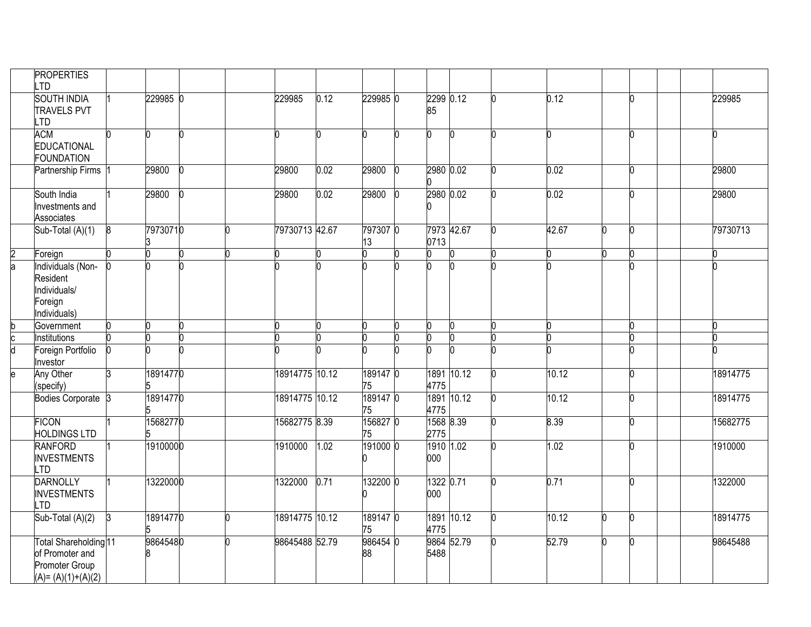|               | <b>PROPERTIES</b><br>.TD                                                          |   |          |  |                |      |                |    |                    |            |       |    |   |          |
|---------------|-----------------------------------------------------------------------------------|---|----------|--|----------------|------|----------------|----|--------------------|------------|-------|----|---|----------|
|               | <b>SOUTH INDIA</b><br><b>TRAVELS PVT</b><br>TD.                                   |   | 229985 0 |  | 229985         | 0.12 | 229985 0       |    | 2299 0.12<br>85    |            | 0.12  |    | N | 229985   |
|               | <b>ACM</b><br><b>EDUCATIONAL</b><br><b>FOUNDATION</b>                             |   |          |  | 0              |      | n.             |    | n                  | In         |       |    | N |          |
|               | <b>Partnership Firms</b>                                                          |   | 29800    |  | 29800          | 0.02 | 29800          |    | 2980 0.02          |            | 0.02  |    | n | 29800    |
|               | South India<br>Investments and<br>Associates                                      |   | 29800    |  | 29800          | 0.02 | 29800          | -0 | 2980 0.02          |            | 0.02  |    | n | 29800    |
|               | Sub-Total (A)(1)                                                                  | 8 | 79730710 |  | 79730713 42.67 |      | 797307 0<br>13 |    | 0713               | 7973 42.67 | 42.67 |    |   | 79730713 |
| $\frac{2}{a}$ | Foreign                                                                           |   |          |  |                |      |                |    |                    |            |       |    |   |          |
|               | Individuals (Non-<br>Resident<br>Individuals/<br>Foreign<br>Individuals)          |   |          |  |                |      |                |    |                    |            |       |    |   |          |
| b             | Government                                                                        |   |          |  | 0              | U    |                | O  | n                  | O          |       |    | n |          |
|               | Institutions                                                                      |   |          |  | n              | n    |                | 'n |                    |            |       |    |   |          |
| F             | Foreign Portfolio<br>Investor                                                     |   |          |  |                |      |                |    |                    | n          |       |    |   |          |
| le            | Any Other<br>(specify)                                                            |   | 18914770 |  | 18914775 10.12 |      | 189147 0<br>75 |    | 4775               | 1891 10.12 | 10.12 |    | በ | 18914775 |
|               | <b>Bodies Corporate</b>                                                           |   | 18914770 |  | 18914775 10.12 |      | 189147 0<br>75 |    | 4775               | 1891 10.12 | 10.12 |    |   | 18914775 |
|               | <b>FICON</b><br><b>HOLDINGS LTD</b>                                               |   | 15682770 |  | 15682775 8.39  |      | 156827 0<br>75 |    | 1568 8.39<br>2775  |            | 8.39  |    | ስ | 15682775 |
|               | <b>RANFORD</b><br><b>INVESTMENTS</b><br>LTD                                       |   | 19100000 |  | 1910000        | 1.02 | 191000 0       |    | 1910 1.02<br>000   |            | 1.02  |    | ሰ | 1910000  |
|               | <b>DARNOLLY</b><br><b>INVESTMENTS</b><br>TD <sub></sub>                           |   | 13220000 |  | 1322000 0.71   |      | 132200 0       |    | 1322 0.71<br>000   |            | 0.71  |    | n | 1322000  |
|               | Sub-Total (A)(2)                                                                  |   | 18914770 |  | 18914775 10.12 |      | 189147 0<br>75 |    | 4775               | 1891 10.12 | 10.12 |    | n | 18914775 |
|               | Total Shareholding 11<br>of Promoter and<br>Promoter Group<br>$(A)=(A)(1)+(A)(2)$ |   | 98645480 |  | 98645488 52.79 |      | 986454 0<br>88 |    | 9864 52.79<br>5488 |            | 52.79 | n. | n | 98645488 |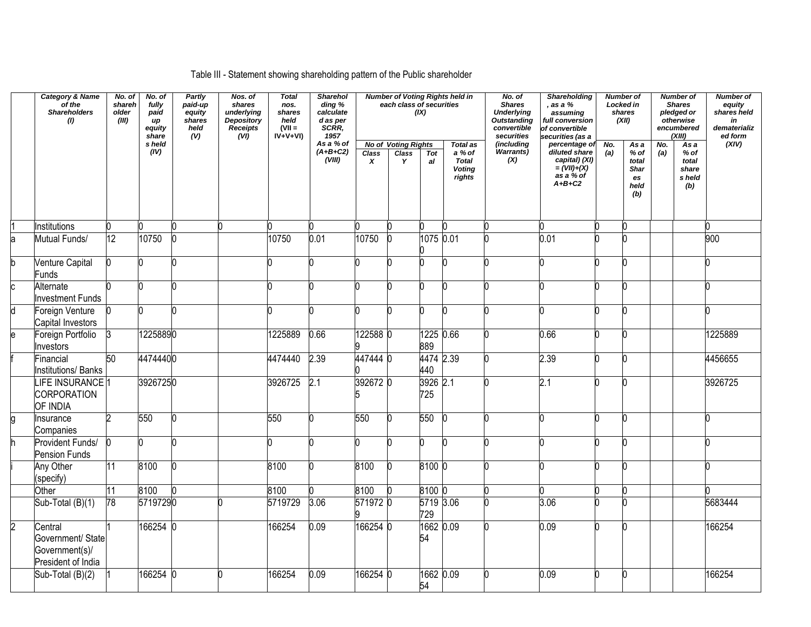## Table III - Statement showing shareholding pattern of the Public shareholder

|                | <b>Category &amp; Name</b><br>of the<br><b>Shareholders</b><br>(1)   | No. of<br>shareh<br>older<br>(III) | No. of<br>fully<br>paid<br>up<br>equity<br>share | Partly<br>paid-up<br>equity<br>shares<br>held<br>(V) | Nos. of<br>shares<br>underlying<br><b>Depository</b><br><b>Receipts</b><br>(VI) | <b>Total</b><br>nos.<br>shares<br>held<br>$(VII =$<br>$IV+V+VI$ | <b>Sharehol</b><br>ding %<br>calculate<br>$d$ as per<br>SCRR,<br>1957 |            | each class of securities                 | (IX)             | <b>Number of Voting Rights held in</b>                        | No. of<br><b>Shares</b><br><b>Underlying</b><br><b>Outstanding</b><br>convertible<br>securities | <b>Shareholding</b><br>as a %<br>assuming<br>full conversion<br>of convertible<br>securities (as a |            | <b>Number of</b><br>Locked in<br>shares<br>(XII)     |            | <b>Number of</b><br><b>Shares</b><br>pledged or<br>otherwise<br>encumbered<br>(XIII) | <b>Number of</b><br>equity<br>shares held<br>in<br>dematerializ<br>ed form |
|----------------|----------------------------------------------------------------------|------------------------------------|--------------------------------------------------|------------------------------------------------------|---------------------------------------------------------------------------------|-----------------------------------------------------------------|-----------------------------------------------------------------------|------------|------------------------------------------|------------------|---------------------------------------------------------------|-------------------------------------------------------------------------------------------------|----------------------------------------------------------------------------------------------------|------------|------------------------------------------------------|------------|--------------------------------------------------------------------------------------|----------------------------------------------------------------------------|
|                |                                                                      |                                    | s held<br>(IV)                                   |                                                      |                                                                                 |                                                                 | As a % of<br>$(A+B+C2)$<br>(VIII)                                     | Class<br>x | <b>No of Voting Rights</b><br>Class<br>Y | Tot<br>al        | Total as<br>a % of<br><b>Total</b><br><b>Voting</b><br>rights | (includina<br>Warrants)<br>(X)                                                                  | percentage of<br>diluted share<br>capital) (XI)<br>= $(VII)+(X)$<br>as a % of<br>$A+B+C2$          | No.<br>(a) | As a<br>$%$ of<br>total<br>Shar<br>es<br>held<br>(b) | No.<br>(a) | As a<br>$%$ of<br>total<br>share<br>s held<br>(b)                                    | (XIV)                                                                      |
|                | Institutions                                                         |                                    |                                                  |                                                      | n                                                                               |                                                                 |                                                                       |            |                                          | 0                |                                                               |                                                                                                 |                                                                                                    |            |                                                      |            |                                                                                      |                                                                            |
| a              | Mutual Funds/                                                        | 12                                 | 10750                                            |                                                      |                                                                                 | 10750                                                           | 0.01                                                                  | 10750      |                                          | 1075 0.01        |                                                               |                                                                                                 | 0.01                                                                                               |            |                                                      |            |                                                                                      | 900                                                                        |
| h              | <b>Venture Capital</b><br><b>Funds</b>                               |                                    |                                                  |                                                      |                                                                                 |                                                                 | n                                                                     |            |                                          | n                |                                                               |                                                                                                 |                                                                                                    |            | n                                                    |            |                                                                                      |                                                                            |
|                | Alternate<br><b>Investment Funds</b>                                 |                                    |                                                  |                                                      |                                                                                 |                                                                 |                                                                       |            |                                          |                  |                                                               |                                                                                                 |                                                                                                    |            |                                                      |            |                                                                                      |                                                                            |
| d              | Foreign Venture<br>Capital Investors                                 |                                    |                                                  |                                                      |                                                                                 |                                                                 |                                                                       |            |                                          | n                |                                                               |                                                                                                 |                                                                                                    |            |                                                      |            |                                                                                      |                                                                            |
| ė              | Foreign Portfolio<br>Investors                                       |                                    | 12258890                                         |                                                      |                                                                                 | 1225889                                                         | 0.66                                                                  | 122588 0   |                                          | 1225 0.66<br>889 |                                                               |                                                                                                 | 0.66                                                                                               |            | n                                                    |            |                                                                                      | 1225889                                                                    |
|                | Financial<br><b>Institutions/ Banks</b>                              | $\overline{50}$                    | 44744400                                         |                                                      |                                                                                 | 4474440                                                         | 2.39                                                                  | 4474440    |                                          | 4474 2.39<br>440 |                                                               |                                                                                                 | 2.39                                                                                               |            | n                                                    |            |                                                                                      | 4456655                                                                    |
|                | LIFE INSURANCE <sup>1</sup><br><b>CORPORATION</b><br>OF INDIA        |                                    | 39267250                                         |                                                      |                                                                                 | 3926725                                                         | 2.1                                                                   | 392672 0   |                                          | 3926 2.1<br>725  |                                                               |                                                                                                 | 2.1                                                                                                |            |                                                      |            |                                                                                      | 3926725                                                                    |
|                | Insurance<br>Companies                                               |                                    | 550                                              |                                                      |                                                                                 | 550                                                             | n                                                                     | 550        |                                          | 550              |                                                               |                                                                                                 |                                                                                                    |            |                                                      |            |                                                                                      |                                                                            |
|                | Provident Funds/<br><b>Pension Funds</b>                             |                                    |                                                  |                                                      |                                                                                 |                                                                 |                                                                       |            |                                          | n                |                                                               |                                                                                                 |                                                                                                    |            |                                                      |            |                                                                                      |                                                                            |
|                | Any Other<br>(specify)                                               | 11                                 | 8100                                             |                                                      |                                                                                 | 8100                                                            | n                                                                     | 8100       |                                          | 8100 0           |                                                               |                                                                                                 |                                                                                                    |            |                                                      |            |                                                                                      |                                                                            |
|                | Other                                                                | 11                                 | 8100                                             |                                                      |                                                                                 | 8100                                                            |                                                                       | 8100       |                                          | 8100 0           |                                                               |                                                                                                 |                                                                                                    |            |                                                      |            |                                                                                      |                                                                            |
|                | Sub-Total (B)(1)                                                     | 78                                 | 57197290                                         |                                                      |                                                                                 | 5719729                                                         | 3.06                                                                  | 571972 0   |                                          | 5719 3.06<br>729 |                                                               |                                                                                                 | 3.06                                                                                               |            |                                                      |            |                                                                                      | 5683444                                                                    |
| $\overline{2}$ | Central<br>Government/ State<br>Government(s)/<br>President of India |                                    | 166254 0                                         |                                                      |                                                                                 | 166254                                                          | 0.09                                                                  | 166254 0   |                                          | 1662 0.09<br>54  |                                                               |                                                                                                 | 0.09                                                                                               |            |                                                      |            |                                                                                      | 166254                                                                     |
|                | Sub-Total (B)(2)                                                     |                                    | 166254                                           |                                                      |                                                                                 | 166254                                                          | 0.09                                                                  | 166254 0   |                                          | 1662 0.09<br>54  |                                                               |                                                                                                 | 0.09                                                                                               |            | n                                                    |            |                                                                                      | 166254                                                                     |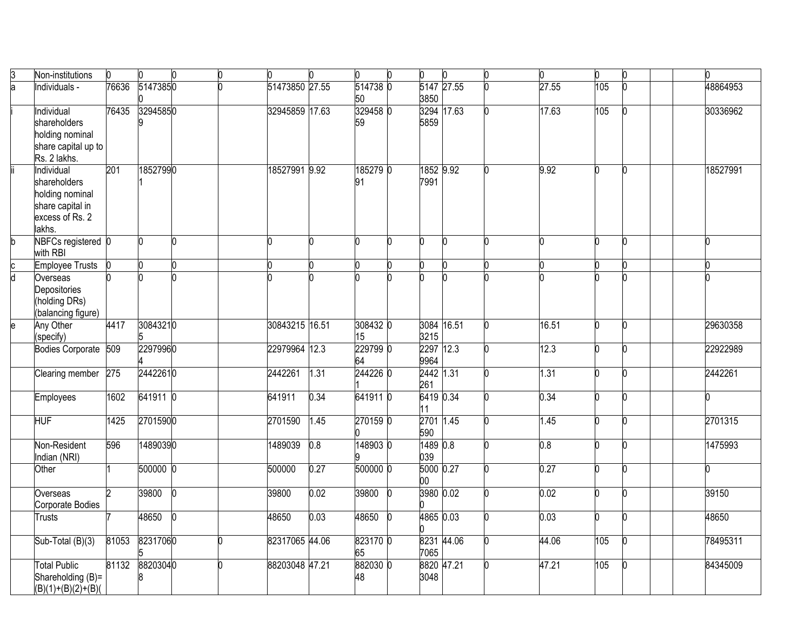| B | Non-institutions       |       | 0            | 0   | n | n              |      | n        | U |            | n.         | O.    | O.               | O. | 0        |  |
|---|------------------------|-------|--------------|-----|---|----------------|------|----------|---|------------|------------|-------|------------------|----|----------|--|
| h | Individuals -          | 76636 | 51473850     |     |   | 51473850 27.55 |      | 514738 0 |   |            | 5147 27.55 | 27.55 | $\overline{105}$ | h  | 48864953 |  |
|   |                        |       |              |     |   |                |      | 50       |   | 3850       |            |       |                  |    |          |  |
|   | Individual             | 76435 | 32945850     |     |   | 32945859 17.63 |      | 329458 0 |   |            | 3294 17.63 | 17.63 | $\overline{105}$ |    | 30336962 |  |
|   | shareholders           |       |              |     |   |                |      | 59       |   | 5859       |            |       |                  |    |          |  |
|   | holding nominal        |       |              |     |   |                |      |          |   |            |            |       |                  |    |          |  |
|   | share capital up to    |       |              |     |   |                |      |          |   |            |            |       |                  |    |          |  |
|   | Rs. 2 lakhs.           |       |              |     |   |                |      |          |   |            |            |       |                  |    |          |  |
|   | Individual             | 201   | 18527990     |     |   | 18527991 9.92  |      | 185279 0 |   | 1852 9.92  |            | 9.92  | 0                | n  | 18527991 |  |
|   | shareholders           |       |              |     |   |                |      | 91       |   | 7991       |            |       |                  |    |          |  |
|   | holding nominal        |       |              |     |   |                |      |          |   |            |            |       |                  |    |          |  |
|   | share capital in       |       |              |     |   |                |      |          |   |            |            |       |                  |    |          |  |
|   | excess of Rs. 2        |       |              |     |   |                |      |          |   |            |            |       |                  |    |          |  |
|   | lakhs.                 |       |              |     |   |                |      |          |   |            |            |       |                  |    |          |  |
|   | NBFCs registered 0     |       | <sup>0</sup> | n   |   |                |      | n        | n |            | n          |       | n                | n  | n        |  |
|   | with RBI               |       |              |     |   |                |      |          |   |            |            |       |                  |    |          |  |
|   | <b>Employee Trusts</b> |       | n            | n   |   |                |      | n        |   |            |            |       | 0                | n  |          |  |
|   | Overseas               |       |              |     |   |                |      |          |   |            |            |       |                  |    |          |  |
|   | Depositories           |       |              |     |   |                |      |          |   |            |            |       |                  |    |          |  |
|   | (holding DRs)          |       |              |     |   |                |      |          |   |            |            |       |                  |    |          |  |
|   | (balancing figure)     |       |              |     |   |                |      |          |   |            |            |       |                  |    |          |  |
| e | Any Other              | 4417  | 30843210     |     |   | 30843215 16.51 |      | 308432 0 |   | 3084 16.51 |            | 16.51 | n                | n  | 29630358 |  |
|   | (specify)              |       | 5            |     |   |                |      | 15       |   | 3215       |            |       |                  |    |          |  |
|   | Bodies Corporate 509   |       | 22979960     |     |   | 22979964 12.3  |      | 229799 0 |   | 2297 12.3  |            | 12.3  | n                | n  | 22922989 |  |
|   |                        |       |              |     |   |                |      | 64       |   | 9964       |            |       |                  |    |          |  |
|   | Clearing member        | 275   | 24422610     |     |   | 2442261        | 1.31 | 2442260  |   | 2442 1.31  |            | 1.31  | n                |    | 2442261  |  |
|   |                        |       |              |     |   |                |      |          |   | 261        |            |       |                  |    |          |  |
|   | Employees              | 1602  | 641911 0     |     |   | 641911         | 0.34 | 641911 0 |   | 6419 0.34  |            | 0.34  | Ō                | h  |          |  |
|   |                        |       |              |     |   |                |      |          |   | 11         |            |       |                  |    |          |  |
|   | HUF                    | 1425  | 27015900     |     |   | 2701590        | 1.45 | 270159 0 |   | 2701 1.45  |            | 1.45  | h                | n  | 2701315  |  |
|   |                        |       |              |     |   |                |      |          |   | 590        |            |       |                  |    |          |  |
|   | Non-Resident           | 596   | 14890390     |     |   | 1489039        | 0.8  | 1489030  |   | 1489 0.8   |            | 0.8   | n                | n  | 1475993  |  |
|   | ndian (NRI)            |       |              |     |   |                |      |          |   | 039        |            |       |                  |    |          |  |
|   | Other                  |       | 500000 0     |     |   | 500000         | 0.27 | 500000 0 |   | 5000 0.27  |            | 0.27  | n                |    |          |  |
|   |                        |       |              |     |   |                |      |          |   | 00         |            |       |                  |    |          |  |
|   | Overseas               |       | 39800        | IN. |   | 39800          | 0.02 | 39800    |   | 3980 0.02  |            | 0.02  | n                | n  | 39150    |  |
|   | Corporate Bodies       |       |              |     |   |                |      |          |   |            |            |       |                  |    |          |  |
|   | Trusts                 |       | 48650        | l0  |   | 48650          | 0.03 | 48650    |   | 4865 0.03  |            | 0.03  | h                | h  | 48650    |  |
|   |                        |       |              |     |   |                |      |          |   |            |            |       |                  |    |          |  |
|   | Sub-Total (B)(3)       | 81053 | 82317060     |     |   | 82317065 44.06 |      | 823170 0 |   |            | 8231 44.06 | 44.06 | 105              | n  | 78495311 |  |
|   |                        |       |              |     |   |                |      | 65       |   | 7065       |            |       |                  |    |          |  |
|   | <b>Total Public</b>    | 81132 | 88203040     |     |   | 88203048 47.21 |      | 882030 0 |   |            | 8820 47.21 | 47.21 | $\overline{105}$ | O  | 84345009 |  |
|   | Shareholding (B)=      |       |              |     |   |                |      | 48       |   | 3048       |            |       |                  |    |          |  |
|   | $(B)(1)+(B)(2)+(B)($   |       |              |     |   |                |      |          |   |            |            |       |                  |    |          |  |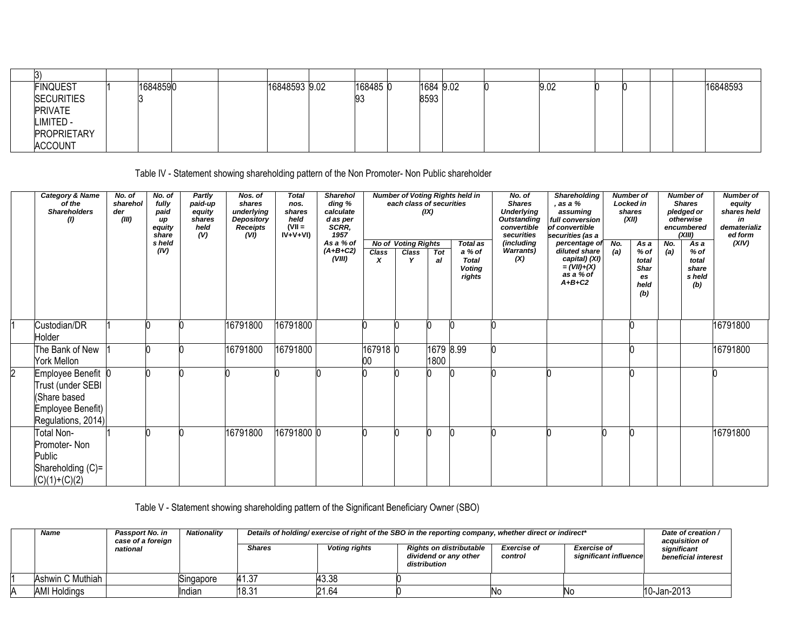| B)                 |          |  |               |          |           |  |      |  |  |          |
|--------------------|----------|--|---------------|----------|-----------|--|------|--|--|----------|
| <b>FINQUEST</b>    | 16848590 |  | 16848593 9.02 | 168485 0 | 1684 9.02 |  | 9.02 |  |  | 16848593 |
| <b>SECURITIES</b>  |          |  |               | 93       | 8593      |  |      |  |  |          |
| <b>PRIVATE</b>     |          |  |               |          |           |  |      |  |  |          |
| LIMITED -          |          |  |               |          |           |  |      |  |  |          |
| <b>PROPRIETARY</b> |          |  |               |          |           |  |      |  |  |          |
| <b>ACCOUNT</b>     |          |  |               |          |           |  |      |  |  |          |

Table IV - Statement showing shareholding pattern of the Non Promoter- Non Public shareholder

| Category & Name<br>of the<br><b>Shareholders</b><br>$\left( 0\right)$                              | No. of<br>sharehol<br>der<br>(III) | No. of<br>fully<br>paid<br>up<br>equity<br>share<br>s held<br>(IV) | Partly<br>paid-up<br>equity<br>shares<br>held<br>(V) | Nos. of<br>shares<br>underlying<br>Depository<br><b>Receipts</b><br>(VI) | <b>Total</b><br>nos.<br>shares<br>held<br>$(VII =$<br>$IV+V+VI$ | <b>Sharehol</b><br>ding %<br>calculate<br>d as per<br>SCRR,<br>1957<br>As a % of<br>$(A+B+C2)$<br>(VIII) | Class<br>X     | each class of securities<br><b>No of Voting Rights</b><br>Class | (IX)<br>Tot<br>al | <b>Number of Voting Rights held in</b><br><b>Total as</b><br>a % of<br><b>Total</b><br><b>Voting</b><br>rights | No. of<br><b>Shares</b><br><b>Underlying</b><br><b>Outstanding</b><br>convertible<br>securities<br>(including<br><b>Warrants)</b><br>(X) | Shareholding<br>, as a %<br>assuming<br>full conversion<br>of convertible<br>securities (as a<br>percentage of<br>diluted share<br>capital) (XI)<br>$=(VII)+(X)$<br>as a % of<br>$A+B+C2$ | N <sub>o</sub><br>(a) | <b>Number</b> of<br><b>Locked in</b><br>shares<br>(XII)<br>As a<br>$%$ of<br>total<br><b>Shar</b><br>es<br>held<br>(b) | No.<br>(a) | <b>Number of</b><br><b>Shares</b><br>pledged or<br>otherwise<br>encumbered<br>(XIII)<br>Asa<br>$%$ of<br>total<br>share<br>s held<br>(b) | <b>Number of</b><br>equity<br>shares held<br>in<br>dematerializ<br>ed form<br>(XIV) |
|----------------------------------------------------------------------------------------------------|------------------------------------|--------------------------------------------------------------------|------------------------------------------------------|--------------------------------------------------------------------------|-----------------------------------------------------------------|----------------------------------------------------------------------------------------------------------|----------------|-----------------------------------------------------------------|-------------------|----------------------------------------------------------------------------------------------------------------|------------------------------------------------------------------------------------------------------------------------------------------|-------------------------------------------------------------------------------------------------------------------------------------------------------------------------------------------|-----------------------|------------------------------------------------------------------------------------------------------------------------|------------|------------------------------------------------------------------------------------------------------------------------------------------|-------------------------------------------------------------------------------------|
| Custodian/DR<br>Holder                                                                             |                                    |                                                                    |                                                      | 16791800                                                                 | 16791800                                                        |                                                                                                          |                |                                                                 |                   |                                                                                                                |                                                                                                                                          |                                                                                                                                                                                           |                       |                                                                                                                        |            |                                                                                                                                          | 16791800                                                                            |
| The Bank of New<br>York Mellon                                                                     |                                    |                                                                    |                                                      | 16791800                                                                 | 16791800                                                        |                                                                                                          | 167918 0<br>00 |                                                                 | 1679 8.99<br>1800 |                                                                                                                |                                                                                                                                          |                                                                                                                                                                                           |                       |                                                                                                                        |            |                                                                                                                                          | 16791800                                                                            |
| Employee Benefit 0<br>Trust (under SEBI<br>(Share based<br>Employee Benefit)<br>Regulations, 2014) |                                    |                                                                    |                                                      |                                                                          |                                                                 |                                                                                                          |                |                                                                 |                   |                                                                                                                |                                                                                                                                          |                                                                                                                                                                                           |                       |                                                                                                                        |            |                                                                                                                                          |                                                                                     |
| Total Non-<br>Promoter- Non<br>Public<br>Shareholding (C)=<br>$(C)(1)+(C)(2)$                      |                                    |                                                                    |                                                      | 16791800                                                                 | 16791800 0                                                      |                                                                                                          |                |                                                                 |                   |                                                                                                                |                                                                                                                                          |                                                                                                                                                                                           |                       |                                                                                                                        |            |                                                                                                                                          | 16791800                                                                            |

Table V - Statement showing shareholding pattern of the Significant Beneficiary Owner (SBO)

| Name                | <b>Passport No. in</b><br>case of a foreign | <b>Nationality</b> |               |                      | "Details of holding/exercise of right of the SBO in the reporting company, whether direct or indirect |                               |                                             | Date of creation /<br>acquisition of |
|---------------------|---------------------------------------------|--------------------|---------------|----------------------|-------------------------------------------------------------------------------------------------------|-------------------------------|---------------------------------------------|--------------------------------------|
|                     | national                                    |                    | <b>Shares</b> | <b>Voting rights</b> | <b>Rights on distributable</b><br>dividend or any other<br>distribution                               | <b>Exercise of</b><br>control | <b>Exercise of</b><br>significant influence | significant<br>beneficial interest   |
| Ashwin C Muthiah I  |                                             | Singapore          | 41.37         | 43.38                |                                                                                                       |                               |                                             |                                      |
| <b>AMI Holdings</b> |                                             | ndian              | 18.31         | 21.64                |                                                                                                       | Νo                            | INo                                         | 10-Jan-2013                          |